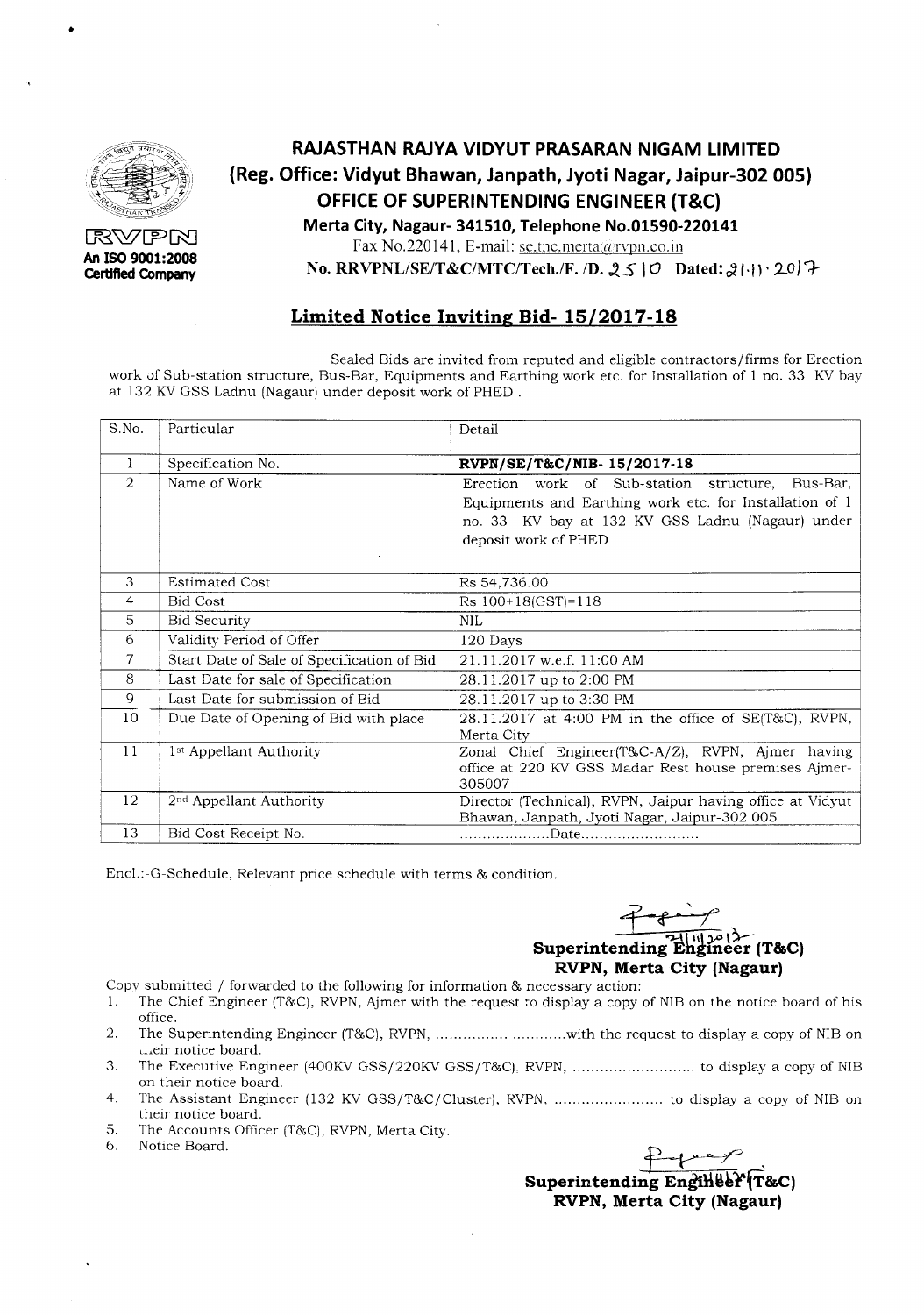

•

RVPN **An ISO 9001:2008 Certlfted Company**

# **RAJASTHAN RAJYA VIDYUT PRASARAN NIGAM LIMITED (Reg. Office: Vidyut Bhawan, Janpath, Jyoti Nagar, Jaipur-302 005) OFFICE OF SUPERINTENDING ENGINEER (T&C) Merta City, Nagaur- 341510, Telephone NO.01590-220141**

Fax No.220141, E-mail: se.tnc.merta@rvpn.co.in

No. RRVPNL/SE/T&C/MTC/Tech./F. /D. 2510 Dated: 21:11 . 2017

### **Limited Notice Inviting Bid- 15/2017-18**

Sealed Bids are invited from reputed and eligible contractors/firms for Erection work of Sub-station structure, Bus-Bar, Equipments and Earthing work etc. for Installation of 1 no. 33 KV bay at 132 KVGSS Ladnu (Nagaur) under deposit work of PHED .

| S.No.          | Particular                                 | Detail                                                                                                                                                                                  |
|----------------|--------------------------------------------|-----------------------------------------------------------------------------------------------------------------------------------------------------------------------------------------|
| $\mathbf{1}$   | Specification No.                          | RVPN/SE/T&C/NIB-15/2017-18                                                                                                                                                              |
| $\overline{2}$ | Name of Work                               | Erection work of Sub-station structure, Bus-Bar,<br>Equipments and Earthing work etc. for Installation of 1<br>no. 33 KV bay at 132 KV GSS Ladnu (Nagaur) under<br>deposit work of PHED |
| 3              | <b>Estimated Cost</b>                      | Rs 54,736.00                                                                                                                                                                            |
| $\overline{4}$ | <b>Bid Cost</b>                            | $Rs 100+18(GST)=118$                                                                                                                                                                    |
| 5              | <b>Bid Security</b>                        | $\mbox{NIL}$                                                                                                                                                                            |
| 6              | Validity Period of Offer                   | 120 Days                                                                                                                                                                                |
| 7              | Start Date of Sale of Specification of Bid | 21.11.2017 w.e.f. 11:00 AM                                                                                                                                                              |
| 8              | Last Date for sale of Specification        | 28.11.2017 up to 2:00 PM                                                                                                                                                                |
| 9              | Last Date for submission of Bid            | 28.11.2017 up to 3:30 PM                                                                                                                                                                |
| 10             | Due Date of Opening of Bid with place      | 28.11.2017 at 4:00 PM in the office of SE(T&C), RVPN,<br>Merta City                                                                                                                     |
| 11             | 1 <sup>st</sup> Appellant Authority        | Zonal Chief Engineer(T&C-A/Z), RVPN, Ajmer having<br>office at 220 KV GSS Madar Rest house premises Ajmer-<br>305007                                                                    |
| 12             | 2 <sup>nd</sup> Appellant Authority        | Director (Technical), RVPN, Jaipur having office at Vidyut<br>Bhawan, Janpath, Jyoti Nagar, Jaipur-302 005                                                                              |
| 13             | Bid Cost Receipt No.                       |                                                                                                                                                                                         |

Encl.:-G-Schedule, Relevant price schedule with terms & condition.

\_j<sup>J</sup> if *'r* **Superintending Engineer (T&C) RVPN, Merta City (Nagaur)**

- Copy submitted / forwarded to the following for information  $\&$  necessary action:<br>1. The Chief Engineer (T&C), RVPN, Aimer with the request to display a copy
- The Chief Engineer (T&C), RVPN, Ajmer with the request to display a copy of NIB on the notice board of his office.
- 2. The Superintending Engineer (T&C), RVPN, ...............................with the request to display a copy of NIB on Leir notice board.
- 3. The Executive Engineer (400KVGSS/220KV GSS/T&Cj, RVPN, to display a copy of NIB on their notice board.
- 4. The Assistant Engineer (132 KV GSS/T&CjCluster), RVPN, to display a copy of NIB on their notice board.
- 5. The Accounts Officer (T&C), RVPN, Merta City.<br>6. Notice Board.
- 

 $\overline{f}$  . Notice Board. Superintending Eng<del>illee (</del>T&C) **RVPN, Merta City (Nagaur)**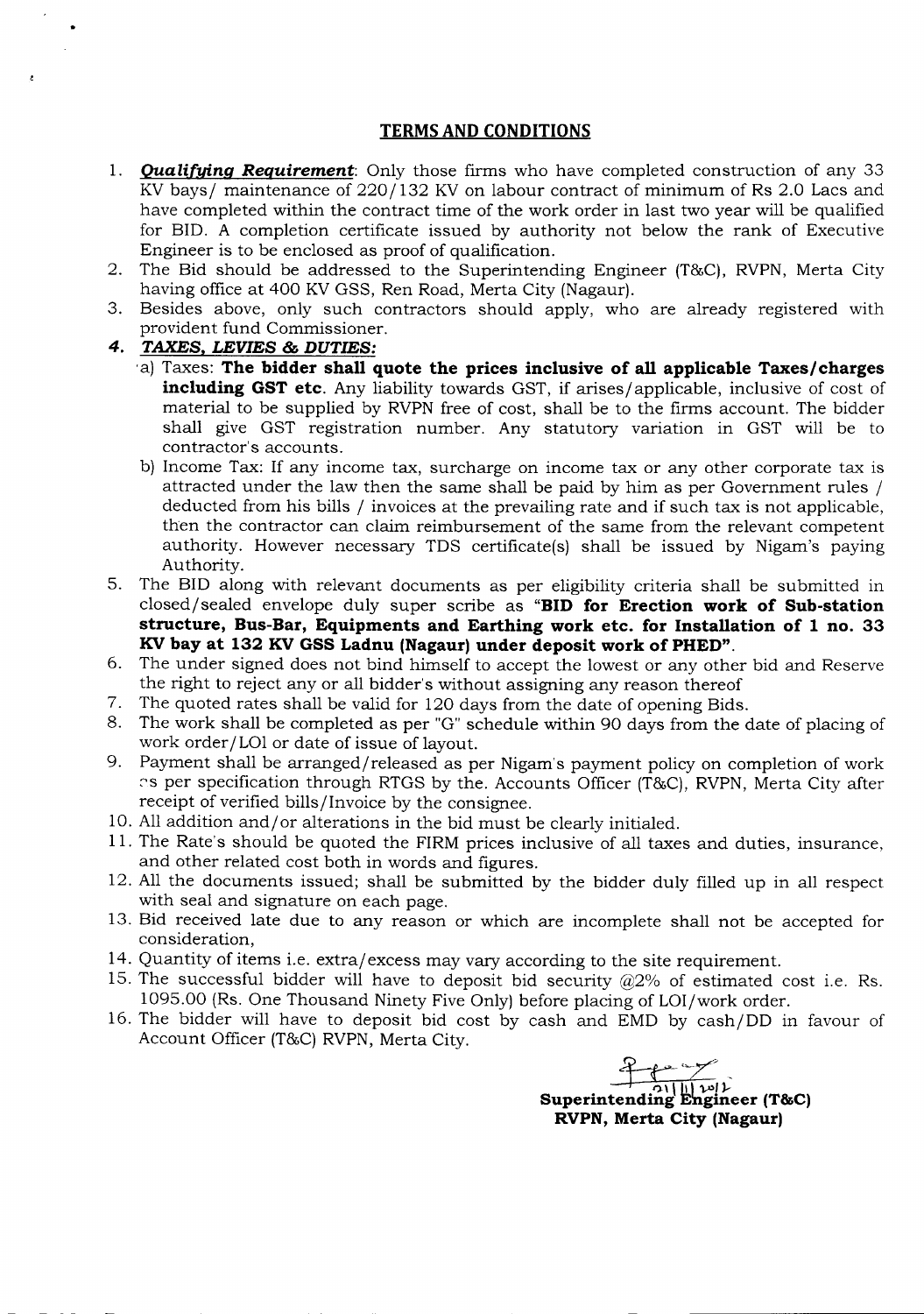#### **TERMS AND CONDITIONS**

- *1. Qualifying Requirement:* Only those firms who have completed construction of any 33 KV bays/ maintenance of 220/132 KV on labour contract of minimum of Rs 2.0 Lacs and have completed within the contract time of the work order in last two year will be qualified for BID. A completion certificate issued by authority not below the rank of Executive Engineer is to be enclosed as proof of qualification.
- 2. The Bid should be addressed to the Superintending Engineer (T&C), RVPN, Merta City having office at 400 KV GSS, Ren Road, Merta City (Nagaur).
- 3. Besides above, only such contractors should apply, who are already registered with provident fund Commissioner.
- *4. TAXES. LEVIES* **&** *DUTIES:*
	- 'a) Taxes: **The bidder shall quote the prices inclusive of all applicable Taxes/charges including GST etc.** Any liability towards GST, if arises/ applicable, inclusive of cost of material to be supplied by RVPN free of cost, shall be to the firms account. The bidder shall give GST registration number. Any statutory variation in GST will be to contractor's accounts.
	- b) Income Tax: If any income tax, surcharge on income tax or any other corporate tax is attracted under the law then the same shall be paid by him as per Government rules / deducted from his bills / invoices at the prevailing rate and if such tax is not applicable, then the contractor can claim reimbursement of the same from the relevant competent authority. However necessary TDS certificate(s) shall be issued by Nigam's paying Authority.
- 5. The BID along with relevant documents as per eligibility criteria shall be submitted in closed/sealed envelope duly super scribe as **"BID for Erection work of Sub-station structure, Bus-Bar, Equipments and Earthing work etc. for Installation of 1 no. 33 KV bay at 132 KV GSS Ladnu (Nagaur) under deposit work of PHED".**
- 6. The under signed does not bind himself to accept the lowest or any other bid and Reserve the right to reject any or all bidder's without assigning any reason thereof
- 7. The quoted rates shall be valid for 120 days from the date of opening Bids.
- 8. The work shall be completed as per "G" schedule within 90 days from the date of placing of work order/LOI or date of issue of layout.
- 9. Payment shall be arranged/released as per Nigam's payment policy on completion of work as per specification through RTGS by the. Accounts Officer (T&C), RVPN, Merta City after receipt of verified bills/Invoice by the consignee.
- 10. All addition and/or alterations in the bid must be clearly initialed.
- 11. The Rate's should be quoted the FIRM prices inclusive of all taxes and duties, insurance, and other related cost both in words and figures.
- 12. All the documents issued; shall be submitted by the bidder duly filled up in all respect with seal and signature on each page.
- 13. Bid received late due to any reason or which are incomplete shall not be accepted for consideration,
- 14. Quantity of items i.e. extra/excess may vary according to the site requirement.
- 15. The successful bidder will have to deposit bid security  $@2\%$  of estimated cost i.e. Rs. 1095.00 (Rs. One Thousand Ninety Five Only) before placing of LOI/work order.
- 16. The bidder will have to deposit bid cost by cash and EMD by cash/DD in favour of Account Officer (T&C) RVPN, Merta City.

*~·'~r\_* -Ji\\ II <sup>I</sup> ".,,)..- **Superintending Engineer (T&C) RVPN, Merta City (Nagaur)**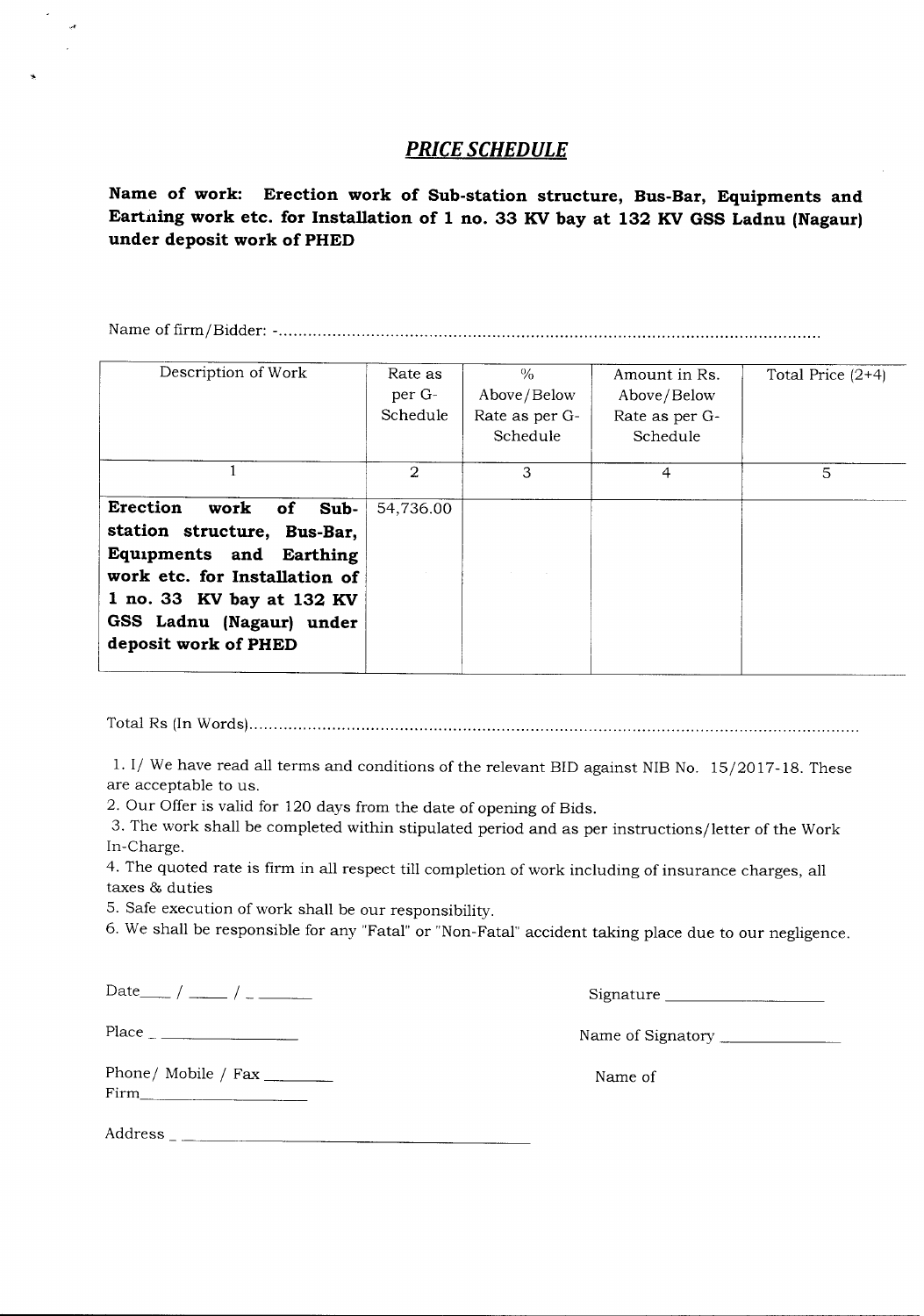## *PRICE SCHEDULE*

**Name of work: Erection work of Sub-station structure, Bus-Bar, Equipments and Eartiting work etc. for Installation of 1 no. 33 KV bay at 132 KV GSS Ladnu (Nagaur) under deposit work of PHED**

Name of firm/Bidder: - .

| Description of Work                                                                                                                                                                                               | Rate as<br>per G-<br>Schedule | $\frac{0}{0}$<br>Above/Below<br>Rate as per G-<br>Schedule | Amount in Rs.<br>Above/Below<br>Rate as per G-<br>Schedule | Total Price $(2+4)$ |
|-------------------------------------------------------------------------------------------------------------------------------------------------------------------------------------------------------------------|-------------------------------|------------------------------------------------------------|------------------------------------------------------------|---------------------|
|                                                                                                                                                                                                                   | $\mathcal{D}$                 | 3                                                          | 4                                                          | 5                   |
| <b>Erection</b><br>work<br>of<br>Sub-<br>station structure, Bus-Bar,<br>Equipments and Earthing<br>work etc. for Installation of<br>1 no. 33 KV bay at 132 KV<br>GSS Ladnu (Nagaur) under<br>deposit work of PHED | 54,736.00                     |                                                            |                                                            |                     |

Total Rs (InWords) .

l.I/ We have read all terms and conditions of the relevant BID against NIBNo. 15/2017-18. These are acceptable to us.

2. Our Offer is valid for 120 days from the date of opening of Bids.

3. The work shall be completed within stipulated period and as per instructions/letter of the Work In-Charge.

4. The quoted rate is firm in all respect till completion of work including of insurance charges, all taxes & duties

5. Safe execution of work shall be our responsibility.

6. We shall be responsible for any "Fatal" or "Non-Fatal"accident taking place due to our negligence.

Phone/ Mobile / Fax \_\_\_\_\_\_\_\_ Firm \_

 $Date$   $/$   $/$   $/$   $/$   $-- ($ 

Place Name of Signatory \_

Name of

Address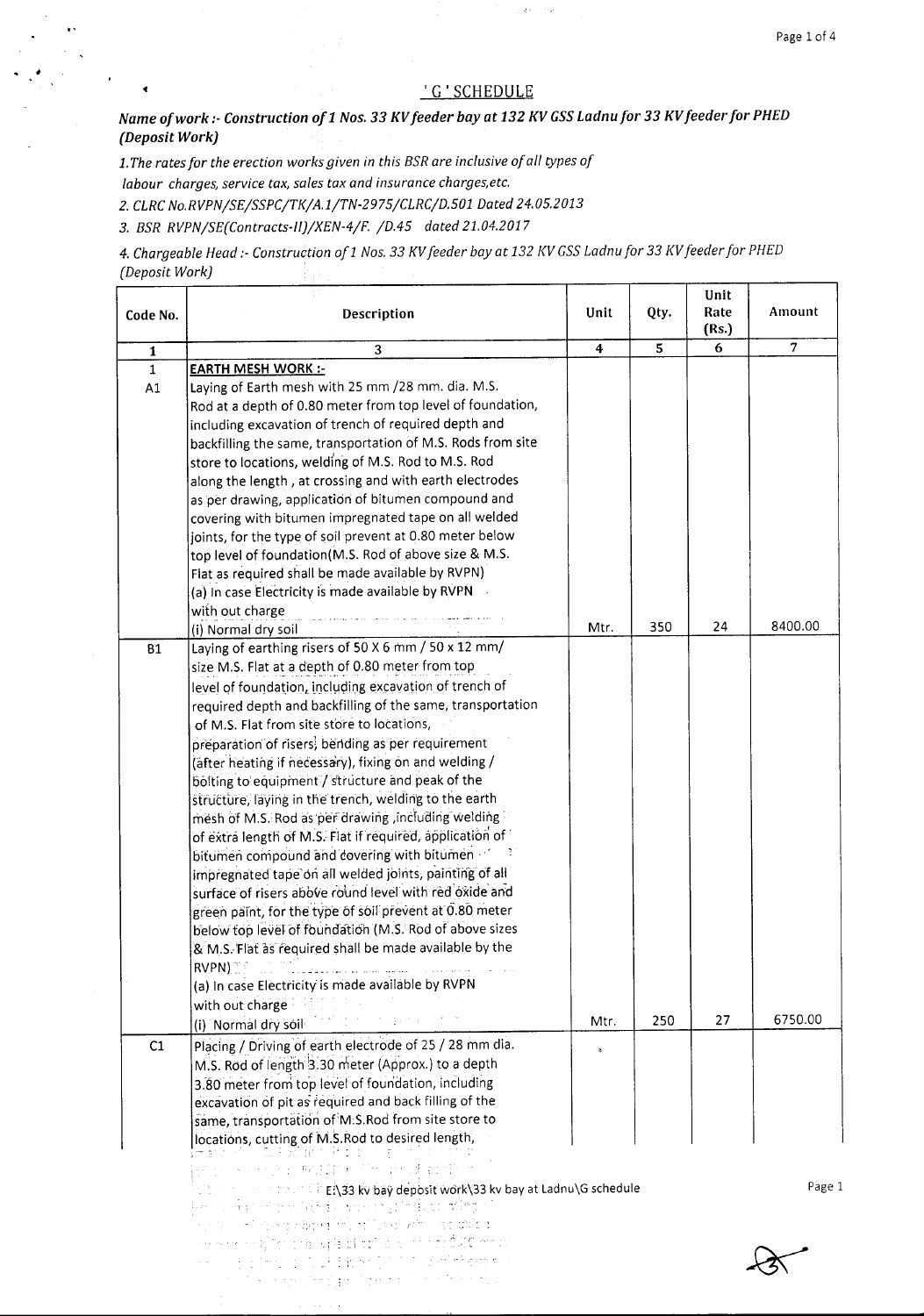#### 'G'SCHEDULE

 $\gamma$  and  $\sim 10$ 

*Name of work :-Construction 011 Nos.* 33*KVfeeder bay at* 132*KVGSSLadnu for* 33*KVfeeder for PHED (Deposit Work)*

*1.The rates for the erection works given in this BSR are inclusive of all types of labour charges, service tax, sales tax and insurance charqes.etc.*

*2. CLRCNo.RVPN/SE/SSPC/TK/A. 1/TN-2975/CLRC/D. 501 Dated 24.05.2013*

*3. BSR RVPN/SE(Contracts-1I)/XEN-4/F. /D.45 dated 21.04.2017*

 $\mathbf{v}$ 

 $\overline{\mathbf{A}}$ 

*4. Chargeable Head t- Construction ofl Nos.* 33 *KVfeeder bay at* 132 *f(V GSSLadnufor* 33 *f(Vfeeder for PHED (Deposit Work)*  $\pm$  .

| Code No.     | Description                                                                                                                                                                                                                                                                                                                                                                                                                                                                     | Unit | Qty. | Unit<br>Rate<br>(Rs.) | Amount         |
|--------------|---------------------------------------------------------------------------------------------------------------------------------------------------------------------------------------------------------------------------------------------------------------------------------------------------------------------------------------------------------------------------------------------------------------------------------------------------------------------------------|------|------|-----------------------|----------------|
| $\mathbf{1}$ | 3                                                                                                                                                                                                                                                                                                                                                                                                                                                                               | 4    | 5    | 6                     | $\overline{7}$ |
| $1\,$        | <b>EARTH MESH WORK:-</b>                                                                                                                                                                                                                                                                                                                                                                                                                                                        |      |      |                       |                |
| A1           | Laying of Earth mesh with 25 mm /28 mm. dia. M.S.<br>Rod at a depth of 0.80 meter from top level of foundation,<br>including excavation of trench of required depth and<br>backfilling the same, transportation of M.S. Rods from site<br>store to locations, welding of M.S. Rod to M.S. Rod<br>along the length, at crossing and with earth electrodes<br>as per drawing, application of bitumen compound and                                                                 |      |      |                       |                |
|              | covering with bitumen impregnated tape on all welded<br>joints, for the type of soil prevent at 0.80 meter below<br>top level of foundation(M.S. Rod of above size & M.S.                                                                                                                                                                                                                                                                                                       |      |      |                       |                |
|              | Flat as required shall be made available by RVPN)<br>(a) In case Electricity is made available by RVPN                                                                                                                                                                                                                                                                                                                                                                          |      |      |                       |                |
|              | with out charge<br>(i) Normal dry soil                                                                                                                                                                                                                                                                                                                                                                                                                                          | Mtr. | 350  | 24                    | 8400.00        |
| <b>B1</b>    | Laying of earthing risers of 50 X 6 mm / 50 x 12 mm/                                                                                                                                                                                                                                                                                                                                                                                                                            |      |      |                       |                |
|              | size M.S. Flat at a depth of 0.80 meter from top                                                                                                                                                                                                                                                                                                                                                                                                                                |      |      |                       |                |
|              | level of foundation, including excavation of trench of                                                                                                                                                                                                                                                                                                                                                                                                                          |      |      |                       |                |
|              | required depth and backfilling of the same, transportation                                                                                                                                                                                                                                                                                                                                                                                                                      |      |      |                       |                |
|              | of M.S. Flat from site store to locations,                                                                                                                                                                                                                                                                                                                                                                                                                                      |      |      |                       |                |
|              | preparation of risers, bending as per requirement                                                                                                                                                                                                                                                                                                                                                                                                                               |      |      |                       |                |
|              | (after heating if necessary), fixing on and welding /                                                                                                                                                                                                                                                                                                                                                                                                                           |      |      |                       |                |
|              | bolting to equipment / structure and peak of the                                                                                                                                                                                                                                                                                                                                                                                                                                |      |      |                       |                |
|              | structure, laying in the trench, welding to the earth                                                                                                                                                                                                                                                                                                                                                                                                                           |      |      |                       |                |
|              | mesh of M.S. Rod as per drawing, including welding                                                                                                                                                                                                                                                                                                                                                                                                                              |      |      |                       |                |
|              | of extra length of M.S. Flat if required, application of                                                                                                                                                                                                                                                                                                                                                                                                                        |      |      |                       |                |
|              | bitumen compound and covering with bitumen                                                                                                                                                                                                                                                                                                                                                                                                                                      |      |      |                       |                |
|              | impregnated tape on all welded joints, painting of all                                                                                                                                                                                                                                                                                                                                                                                                                          |      |      |                       |                |
|              | surface of risers abbve round level with red oxide and                                                                                                                                                                                                                                                                                                                                                                                                                          |      |      |                       |                |
|              | green paint, for the type of soil prevent at 0.80 meter                                                                                                                                                                                                                                                                                                                                                                                                                         |      |      |                       |                |
|              | below top level of foundation (M.S. Rod of above sizes                                                                                                                                                                                                                                                                                                                                                                                                                          |      |      |                       |                |
|              | & M.S. Flat as required shall be made available by the                                                                                                                                                                                                                                                                                                                                                                                                                          |      |      |                       |                |
|              | RVPN)                                                                                                                                                                                                                                                                                                                                                                                                                                                                           |      |      |                       |                |
|              | (a) In case Electricity is made available by RVPN                                                                                                                                                                                                                                                                                                                                                                                                                               |      |      |                       |                |
|              | with out charge                                                                                                                                                                                                                                                                                                                                                                                                                                                                 |      |      |                       |                |
|              | (i) Normal dry soil and the company of the company                                                                                                                                                                                                                                                                                                                                                                                                                              | Mtr. | 250  | 27                    | 6750.00        |
| C1           | Placing / Driving of earth electrode of 25 / 28 mm dia.                                                                                                                                                                                                                                                                                                                                                                                                                         |      |      |                       |                |
|              | M.S. Rod of length 3.30 meter (Approx.) to a depth                                                                                                                                                                                                                                                                                                                                                                                                                              |      |      |                       |                |
|              | 3.80 meter from top level of foundation, including                                                                                                                                                                                                                                                                                                                                                                                                                              |      |      |                       |                |
|              | excavation of pit as required and back filling of the                                                                                                                                                                                                                                                                                                                                                                                                                           |      |      |                       |                |
|              | same, transportation of M.S.Rod from site store to                                                                                                                                                                                                                                                                                                                                                                                                                              |      |      |                       |                |
|              | locations, cutting of M.S.Rod to desired length,                                                                                                                                                                                                                                                                                                                                                                                                                                |      |      |                       |                |
|              | 计可算表面的<br>en som som andere for anderstad                                                                                                                                                                                                                                                                                                                                                                                                                                       |      |      |                       |                |
|              | <b>The community of the EN33 kv bay deposit work\33 kv bay at Ladnu\G schedule</b>                                                                                                                                                                                                                                                                                                                                                                                              |      |      |                       | Page 1         |
|              | te sambon peranti mengindan mahij                                                                                                                                                                                                                                                                                                                                                                                                                                               |      |      |                       |                |
|              | in the cost of any address in location with codeficition                                                                                                                                                                                                                                                                                                                                                                                                                        |      |      |                       |                |
|              | www.com/strate-wheletions-windows.com                                                                                                                                                                                                                                                                                                                                                                                                                                           |      |      |                       |                |
|              | www.communications.com/sections/<br>$\label{eq:2.1} \mathcal{F}^{(1)} = \mathcal{F}^{(1)} \left( \mathcal{F}^{(1)} \right) = \mathcal{F}^{(1)} \left( \mathcal{F}^{(1)} \right) = \mathcal{F}^{(1)} \left( \mathcal{F}^{(1)} \right) = \mathcal{F}^{(1)} \left( \mathcal{F}^{(1)} \right) = \mathcal{F}^{(1)} \left( \mathcal{F}^{(1)} \right) = \mathcal{F}^{(1)} \left( \mathcal{F}^{(1)} \right) = \mathcal{F}^{(1)} \left( \mathcal{F}^{(1)} \right) = \mathcal{F}^{(1)} \$ |      |      |                       |                |
|              |                                                                                                                                                                                                                                                                                                                                                                                                                                                                                 |      |      |                       |                |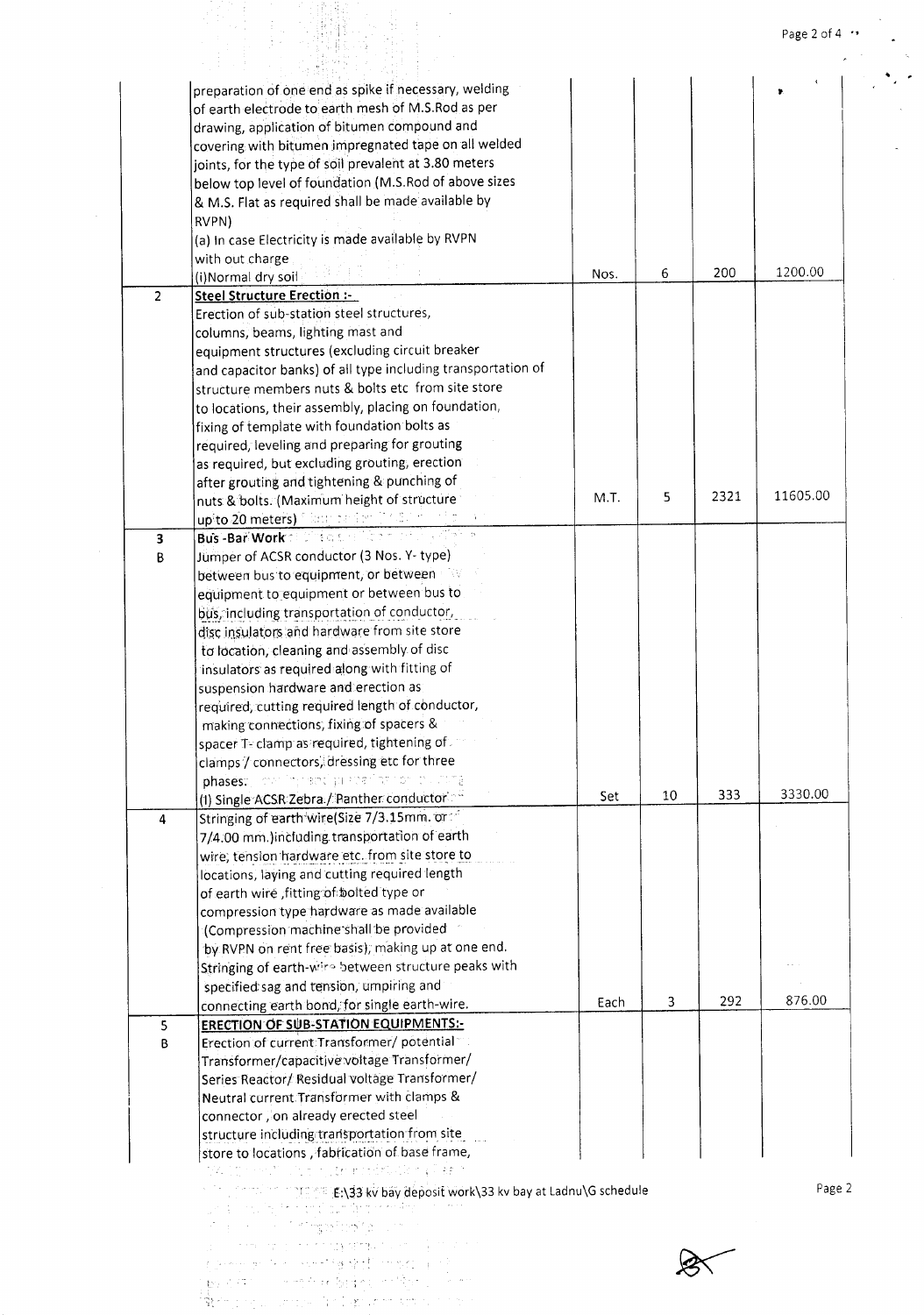|                |                                                                                                            |      |    |      | Page 2 of 4 $\cdot$ |
|----------------|------------------------------------------------------------------------------------------------------------|------|----|------|---------------------|
|                |                                                                                                            |      |    |      |                     |
|                | preparation of one end as spike if necessary, welding                                                      |      |    |      |                     |
|                | of earth electrode to earth mesh of M.S.Rod as per                                                         |      |    |      |                     |
|                | drawing, application of bitumen compound and                                                               |      |    |      |                     |
|                | covering with bitumen impregnated tape on all welded                                                       |      |    |      |                     |
|                | joints, for the type of soil prevalent at 3.80 meters                                                      |      |    |      |                     |
|                | below top level of foundation (M.S.Rod of above sizes                                                      |      |    |      |                     |
|                | & M.S. Flat as required shall be made available by                                                         |      |    |      |                     |
|                | RVPN)                                                                                                      |      |    |      |                     |
|                | (a) In case Electricity is made available by RVPN                                                          |      |    |      |                     |
|                | with out charge                                                                                            |      |    |      |                     |
|                | (i)Normal dry soil                                                                                         | Nos. | 6  | 200  | 1200.00             |
| $\overline{c}$ | <b>Steel Structure Erection :-</b>                                                                         |      |    |      |                     |
|                | Erection of sub-station steel structures,                                                                  |      |    |      |                     |
|                | columns, beams, lighting mast and                                                                          |      |    |      |                     |
|                | equipment structures (excluding circuit breaker                                                            |      |    |      |                     |
|                | and capacitor banks) of all type including transportation of                                               |      |    |      |                     |
|                | structure members nuts & bolts etc from site store                                                         |      |    |      |                     |
|                | to locations, their assembly, placing on foundation,                                                       |      |    |      |                     |
|                | fixing of template with foundation bolts as                                                                |      |    |      |                     |
|                | required, leveling and preparing for grouting                                                              |      |    |      |                     |
|                | as required, but excluding grouting, erection                                                              |      |    |      |                     |
|                | after grouting and tightening & punching of                                                                |      |    |      |                     |
|                | nuts & bolts. (Maximum height of structure                                                                 | M.T. | 5  | 2321 | 11605.00            |
|                | upito 20 meters) filiam de ser (17,87 million) di                                                          |      |    |      |                     |
| 3              | Bus -Bar Work of the Girls of the Care and                                                                 |      |    |      |                     |
| B              | Jumper of ACSR conductor (3 Nos. Y-type)                                                                   |      |    |      |                     |
|                | between bus to equipment, or between                                                                       |      |    |      |                     |
|                | equipment to equipment or between bus to                                                                   |      |    |      |                     |
|                | bus, including transportation of conductor,                                                                |      |    |      |                     |
|                | disc insulators and hardware from site store                                                               |      |    |      |                     |
|                | to location, cleaning and assembly of disc                                                                 |      |    |      |                     |
|                | insulators as required along with fitting of                                                               |      |    |      |                     |
|                | suspension hardware and erection as:                                                                       |      |    |      |                     |
|                | required, cutting required length of conductor,                                                            |      |    |      |                     |
|                | making connections, fixing of spacers &                                                                    |      |    |      |                     |
|                | spacer T- clamp as required, tightening of                                                                 |      |    |      |                     |
|                | clamps / connectors, dressing etc for three                                                                |      |    |      |                     |
|                | phases: I continuing the Ciprocent agricultural production and                                             |      |    |      |                     |
|                | (1) Single ACSR Zebra / Panther conductor                                                                  | Set  | 10 | 333  | 3330.00             |
| 4              | Stringing of earth wire(Size 7/3.15mm. or                                                                  |      |    |      |                     |
|                | 7/4.00 mm.)including transportation of earth                                                               |      |    |      |                     |
|                | wire, tension hardware etc. from site store to                                                             |      |    |      |                     |
|                | locations, laying and cutting required length                                                              |      |    |      |                     |
|                | of earth wire , fitting of bolted type or                                                                  |      |    |      |                     |
|                | compression type hardware as made available                                                                |      |    |      |                     |
|                | (Compression machine shall be provided                                                                     |      |    |      |                     |
|                | by RVPN on rent free basis), making up at one end.                                                         |      |    |      |                     |
|                | Stringing of earth-wire between structure peaks with                                                       |      |    |      |                     |
|                | specified sag and tension, umpiring and                                                                    |      |    |      |                     |
|                | connecting earth bond, for single earth-wire.                                                              | Each | 3  | 292  | 876.00              |
| 5              | <b>ERECTION OF SUB-STATION EQUIPMENTS:-</b>                                                                |      |    |      |                     |
| B              | Erection of current Transformer/ potential                                                                 |      |    |      |                     |
|                | Transformer/capacitive voltage Transformer/                                                                |      |    |      |                     |
|                | Series Reactor/ Residual voltage Transformer/                                                              |      |    |      |                     |
|                | Neutral current Transformer with clamps &                                                                  |      |    |      |                     |
|                | connector, on already erected steel                                                                        |      |    |      |                     |
|                | structure including transportation from site                                                               |      |    |      |                     |
|                | store to locations, fabrication of base frame,                                                             |      |    |      |                     |
|                | ee Moult to community that he formed                                                                       |      |    |      |                     |
|                | <b>The Contract of the EN33 kv bay deposit work\33 kv bay at Ladnu\G schedule</b>                          |      |    |      | Page 2              |
|                | 医牙根的 医血管细胞 化四磷酸二乙酯                                                                                         |      |    |      |                     |
|                | state of the second profit products                                                                        |      |    |      |                     |
|                | selection is that water to sell provide                                                                    |      |    |      |                     |
|                |                                                                                                            |      |    |      |                     |
|                |                                                                                                            |      |    |      |                     |
|                | pressure that is seen the white month is the<br>ਦੇਸ਼ ਦੇ ਪੱਧਰ ਨਾਲ ਆਪਣੇ ਅਤੇ ਇਸ ਵਿਚ ਸ਼ਾਮਲੇ ਦਾ ਸ਼ਾਮਲੇ ਦਾ ਸ਼ਾਮਲ |      |    |      |                     |

Page 2 of 4  $\cdot$ 

 $\sim$  $\lambda$ 

 $\sim 10^{11}$  K  $\sum_{i=1}^n \sigma_i$  $\mathcal{L}$ 

 $\hat{\mathcal{A}}$ 

 $\overline{a}$ 

 $\frac{1}{\sqrt{2}}$  ,  $\frac{1}{\sqrt{2}}$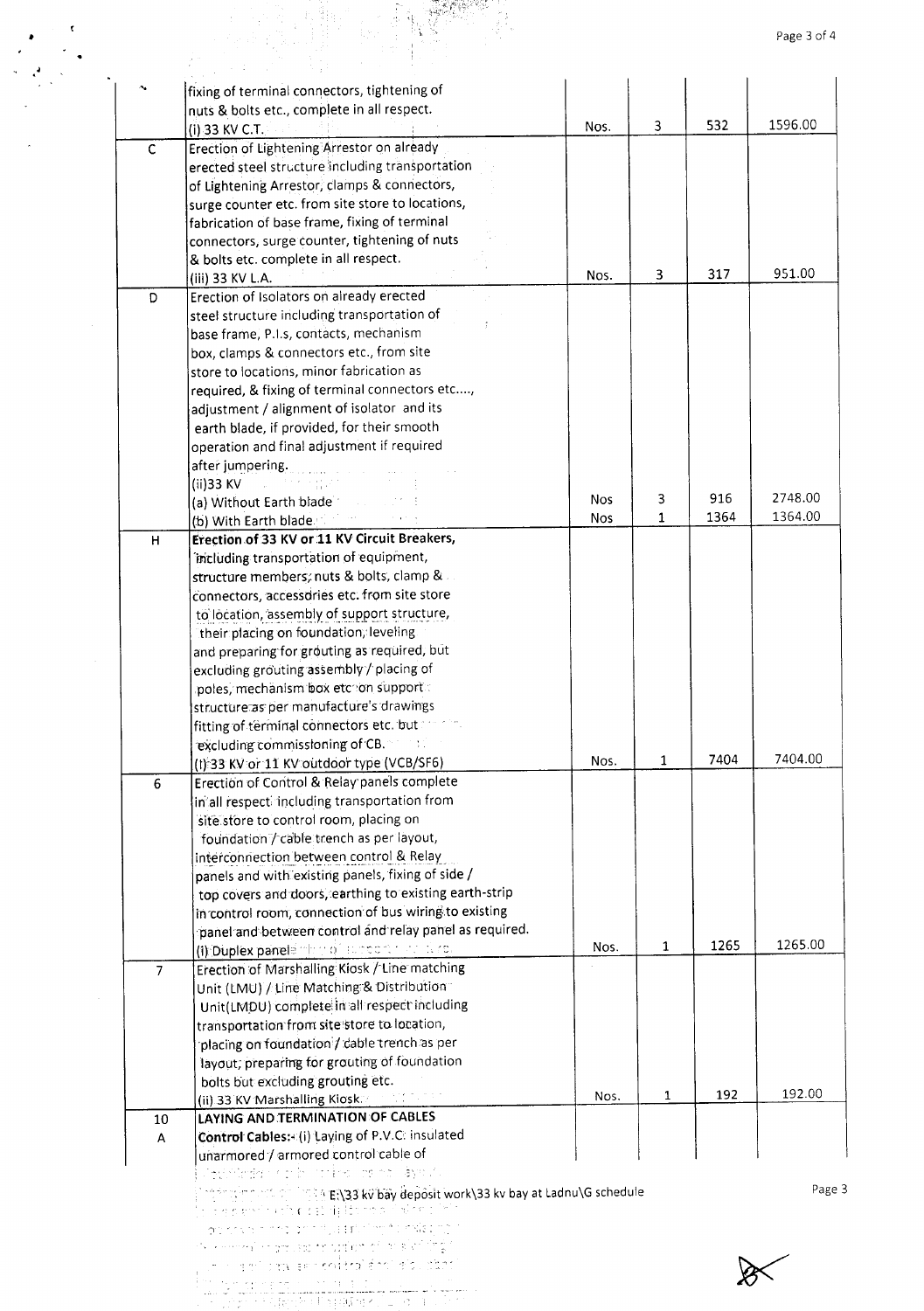|                |                                                                                                                   |            |   |      | Page 3 of 4 |
|----------------|-------------------------------------------------------------------------------------------------------------------|------------|---|------|-------------|
|                | fixing of terminal connectors, tightening of                                                                      |            |   |      |             |
|                | nuts & bolts etc., complete in all respect.                                                                       |            |   |      |             |
|                | (i) 33 KV C.T.                                                                                                    | Nos.       | 3 | 532  | 1596.00     |
| $\mathsf C$    | Erection of Lightening Arrestor on already                                                                        |            |   |      |             |
|                | erected steel structure including transportation                                                                  |            |   |      |             |
|                | of Lightening Arrestor, clamps & connectors,                                                                      |            |   |      |             |
|                | surge counter etc. from site store to locations,                                                                  |            |   |      |             |
|                | fabrication of base frame, fixing of terminal                                                                     |            |   |      |             |
|                | connectors, surge counter, tightening of nuts                                                                     |            |   |      |             |
|                | & bolts etc. complete in all respect.                                                                             |            |   |      |             |
|                | (iii) 33 KV L.A.                                                                                                  | Nos.       | 3 | 317  | 951.00      |
| D              | Erection of Isolators on already erected                                                                          |            |   |      |             |
|                | steel structure including transportation of                                                                       |            |   |      |             |
|                | base frame, P.I.s, contacts, mechanism                                                                            |            |   |      |             |
|                | box, clamps & connectors etc., from site                                                                          |            |   |      |             |
|                | store to locations, minor fabrication as                                                                          |            |   |      |             |
|                | required, & fixing of terminal connectors etc,<br>adjustment / alignment of isolator and its                      |            |   |      |             |
|                | earth blade, if provided, for their smooth                                                                        |            |   |      |             |
|                | operation and final adjustment if required                                                                        |            |   |      |             |
|                | after jumpering.                                                                                                  |            |   |      |             |
|                | (ii)33 KV                                                                                                         |            |   |      |             |
|                | (a) Without Earth blade                                                                                           | <b>Nos</b> | 3 | 916  | 2748.00     |
|                | (b) With Earth blade                                                                                              | <b>Nos</b> | 1 | 1364 | 1364.00     |
| H              | Erection of 33 KV or 11 KV Circuit Breakers,                                                                      |            |   |      |             |
|                | including transportation of equipment,                                                                            |            |   |      |             |
|                | structure members; nuts & bolts, clamp &                                                                          |            |   |      |             |
|                | connectors, accessories etc. from site store                                                                      |            |   |      |             |
|                | to location, assembly of support structure,                                                                       |            |   |      |             |
|                | their placing on foundation, leveling                                                                             |            |   |      |             |
|                | and preparing for grouting as required, but                                                                       |            |   |      |             |
|                | excluding grouting assembly / placing of                                                                          |            |   |      |             |
|                | poles, mechanism box etcom support<br>structure as per manufacture's drawings                                     |            |   |      |             |
|                | fitting of terminal connectors etc. but                                                                           |            |   |      |             |
|                | excluding commissioning of CB. The main                                                                           |            |   |      |             |
|                | (I) 33 KV or 11 KV outdoor type (VCB/SF6)                                                                         | Nos.       | 1 | 7404 | 7404.00     |
| 6              | Erection of Control & Relay panels complete                                                                       |            |   |      |             |
|                | in all respectingcluding transportation from                                                                      |            |   |      |             |
|                | site store to control room, placing on                                                                            |            |   |      |             |
|                | foundation / cable trench as per layout,                                                                          |            |   |      |             |
|                | interconnection between control & Relay                                                                           |            |   |      |             |
|                | panels and with existing panels, fixing of side /                                                                 |            |   |      |             |
|                | top covers and doors, earthing to existing earth-strip                                                            |            |   |      |             |
|                | in control room, connection of bus wiring to existing                                                             |            |   |      |             |
|                | panel and between control and relay panel as required.                                                            | Nos.       | 1 | 1265 | 1265.00     |
|                | (i) Duplex panels that of success that is re-                                                                     |            |   |      |             |
| $\overline{7}$ | Erection of Marshalling Kiosk / Line matching<br>Unit (LMU) / Line Matching & Distribution                        |            |   |      |             |
|                | Unit(LMDU) complete in all respect including                                                                      |            |   |      |             |
|                | transportation from site store to location,                                                                       |            |   |      |             |
|                | placing on foundation / cable trench as per                                                                       |            |   |      |             |
|                | layout, preparing for grouting of foundation                                                                      |            |   |      |             |
|                | bolts but excluding grouting etc.                                                                                 |            |   |      |             |
|                | (ii) 33 KV Marshalling Klosk.<br>(次第10回)                                                                          | Nos.       | 1 | 192  | 192.00      |
| 10             | LAYING AND TERMINATION OF CABLES                                                                                  |            |   |      |             |
| A              | Control Cables: (i) Laying of P.V.C. insulated                                                                    |            |   |      |             |
|                | unarmored / armored control cable of                                                                              |            |   |      |             |
|                | Japonese Cristine as a Ayout                                                                                      |            |   |      |             |
|                |                                                                                                                   |            |   |      |             |
|                | $\log(\gamma_{\rm eff})$ n sit og ling ( $\gamma_{\rm eff}$ )33 kv bay deposit work\33 kv bay at Ladnu\G schedule |            |   |      |             |
|                | je dre s vrsti karističnih igližnica si nizmu i miz                                                               |            |   |      |             |
|                | as crysings and that the funks and                                                                                |            |   |      |             |
|                | in killinen in der sochraften eil alskriftig:<br>an' inviser mitro des nouves                                     |            |   |      |             |

.'